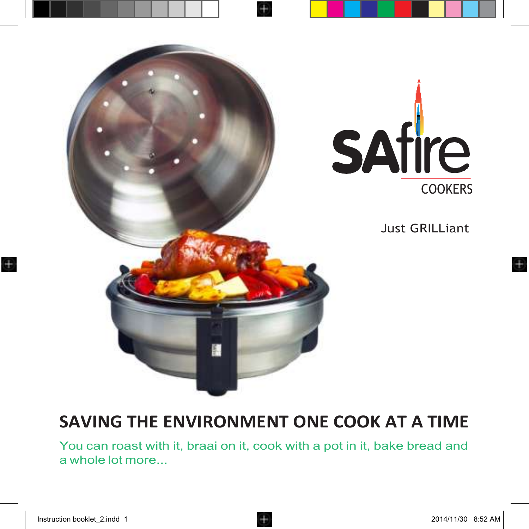

# **SAVING THE ENVIRONMENT ONE COOK AT A TIME**

You can roast with it, braai on it, cook with a pot in it, bake bread and a whole lot more...

Œ.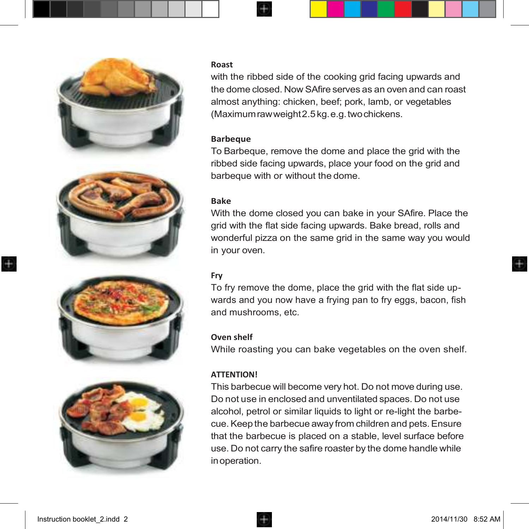







#### **Roast**

with the ribbed side of the cooking grid facing upwards and the dome closed. Now SAfire serves as an oven and can roast almost anything: chicken, beef; pork, lamb, or vegetables (Maximumrawweight2.5kg.e.g.twochickens.

#### **Barbeque**

To Barbeque, remove the dome and place the grid with the ribbed side facing upwards, place your food on the grid and barbeque with or without the dome.

#### **Bake**

With the dome closed you can bake in your SAfire. Place the grid with the flat side facing upwards. Bake bread, rolls and wonderful pizza on the same grid in the same way you would in your oven.

#### **Fry**

To fry remove the dome, place the grid with the flat side upwards and you now have a frying pan to fry eggs, bacon, fish and mushrooms, etc.

#### **Oven shelf**

While roasting you can bake vegetables on the oven shelf.

#### **ATTENTION!**

This barbecue will become very hot. Do not move during use. Do not use in enclosed and unventilated spaces. Do not use alcohol, petrol or similar liquids to light or re-light the barbecue.Keep the barbecue away from children and pets.Ensure that the barbecue is placed on a stable, level surface before use. Do not carry the safire roaster by the dome handle while inoperation.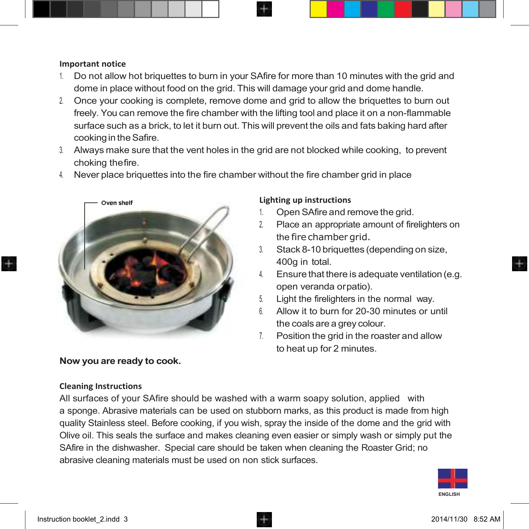#### **Important notice**

- 1. Do not allow hot briquettes to burn in your SAfire for more than 10 minutes with the grid and dome in place without food on the grid. This will damage your grid and dome handle.
- 2. Once your cooking is complete, remove dome and grid to allow the briquettes to burn out freely. You can remove the fire chamber with the lifting tool and place it on a non-flammable surface such as a brick, to let it burn out. This will prevent the oils and fats baking hard after cooking in the Safire.
- 3. Always make sure that the vent holes in the grid are not blocked while cooking, to prevent choking thefire.
- 4. Never place briquettes into the fire chamber without the fire chamber grid in place



#### **Now you are ready to cook.**

#### **Cleaning Instructions**

### All surfaces of your SAfire should be washed with a warm soapy solution, applied with a sponge. Abrasive materials can be used on stubborn marks, as this product is made from high quality Stainless steel. Before cooking, if you wish, spray the inside of the dome and the grid with Olive oil. This seals the surface and makes cleaning even easier or simply wash or simply put the SAfire in the dishwasher. Special care should be taken when cleaning the Roaster Grid; no abrasive cleaning materials must be used on non stick surfaces.





#### **Lighting up instructions**

- 1. Open SAfire and remove the grid.
- 2. Place an appropriate amount of firelighters on the fire chamber grid.
- 3. Stack 8-10 briquettes (depending on size, 400g in total.
- 4. Ensure that there is adequate ventilation (e.g. open veranda orpatio).
- 5. Light the firelighters in the normal way.
- 6. Allow it to burn for 20-30 minutes or until the coals are a grey colour.
- 7. Position the grid in the roaster and allow to heat up for 2 minutes.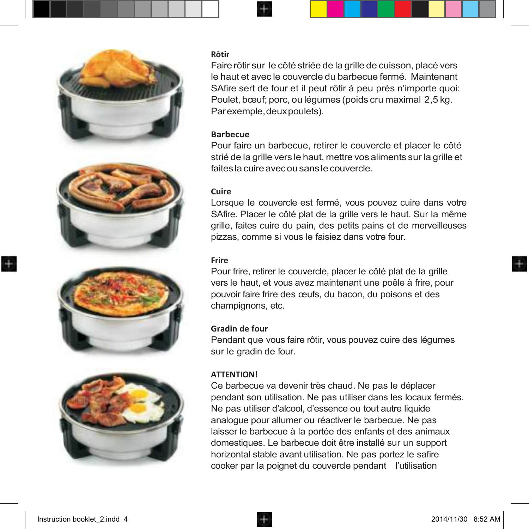

#### **Rôtir**

Faire rôtir sur le côté striée de la grille de cuisson, placé vers le haut et avec le couvercle du barbecue fermé. Maintenant SAfire sert de four et il peut rôtir à peu près n'importe quoi: Poulet, bœuf; porc, ou légumes (poids cru maximal 2,5 kg. Parexemple,deuxpoulets).

#### **Barbecue**

Pour faire un barbecue, retirer le couvercle et placer le côté strié de la grille vers le haut, mettre vos aliments sur la grille et faitesla cuireavecou sansle couvercle.

#### **Cuire**

Lorsque le couvercle est fermé, vous pouvez cuire dans votre SAfire. Placer le côté plat de la grille vers le haut. Sur la même grille, faites cuire du pain, des petits pains et de merveilleuses pizzas, comme si vous le faisiez dans votre four.

#### **Frire**

Pour frire, retirer le couvercle, placer le côté plat de la grille vers le haut, et vous avez maintenant une poêle à frire, pour pouvoir faire frire des œufs, du bacon, du poisons et des champignons, etc.

#### **Gradin de four**

Pendant que vous faire rôtir, vous pouvez cuire des légumes sur le gradin de four.

#### **ATTENTION!**

Ce barbecue va devenir très chaud. Ne pas le déplacer pendant son utilisation. Ne pas utiliser dans les locaux fermés. Ne pas utiliser d'alcool, d'essence ou tout autre liquide analogue pour allumer ou réactiver le barbecue. Ne pas laisser le barbecue à la portée des enfants et des animaux domestiques. Le barbecue doit être installé sur un support horizontal stable avant utilisation. Ne pas portez le safire cooker par la poignet du couvercle pendant l'utilisation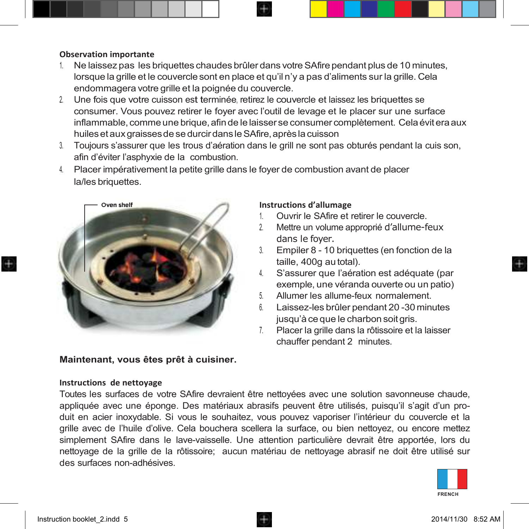#### **Observation importante**

- 1. Ne laissez pas les briquettes chaudes brûler dans votreSAfire pendant plus de 10 minutes, lorsque la grille et le couvercle sont en place et qu'il n'y a pas d'aliments sur la grille. Cela endommagera votre grille et la poignée du couvercle.
- 2. Une fois que votre cuisson est terminée, retirez le couvercle et laissez les briquettes se consumer. Vous pouvez retirer le foyer avec l'outil de levage et le placer sur une surface inflammable, comme une brique, afin de le laisser se consumer complètement. Cela évit era aux huiles et aux graisses de se durcir dans le SAfire, après la cuisson
- 3. Toujours s'assurer que les trous d'aération dans le grill ne sont pas obturés pendant la cuis son, afin d'éviter l'asphyxie de la combustion.
- 4. Placer impérativement la petite grille dans le foyer de combustion avant de placer la/les briquettes.



## **Instructions d'allumage** 1. Ouvrir le SAfire et retirer le couvercle.

- 2. Mettre un volume approprié d'allume-feux dans le foyer.
- 3. Empiler 8 10 briquettes (en fonction de la taille, 400g au total).
- 4. S'assurer que l'aération est adéquate (par exemple, une véranda ouverte ou un patio)
- 5. Allumer les allume-feux normalement.
- 6. Laissez-les brûler pendant 20 -30 minutes jusqu'à ce que le charbon soit gris.
- 7. Placer la grille dans la rôtissoire et la laisser chauffer pendant 2 minutes.

#### **Maintenant, vous êtes prêt à cuisiner.**

#### **Instructions de nettoyage**

Toutes les surfaces de votre SAfire devraient être nettoyées avec une solution savonneuse chaude, appliquée avec une éponge. Des matériaux abrasifs peuvent être utilisés, puisqu'il s'agit d'un produit en acier inoxydable. Si vous le souhaitez, vous pouvez vaporiser l'intérieur du couvercle et la grille avec de l'huile d'olive. Cela bouchera scellera la surface, ou bien nettoyez, ou encore mettez simplement SAfire dans le lave-vaisselle. Une attention particulière devrait être apportée, lors du nettoyage de la grille de la rôtissoire; aucun matériau de nettoyage abrasif ne doit être utilisé sur des surfaces non-adhésives.

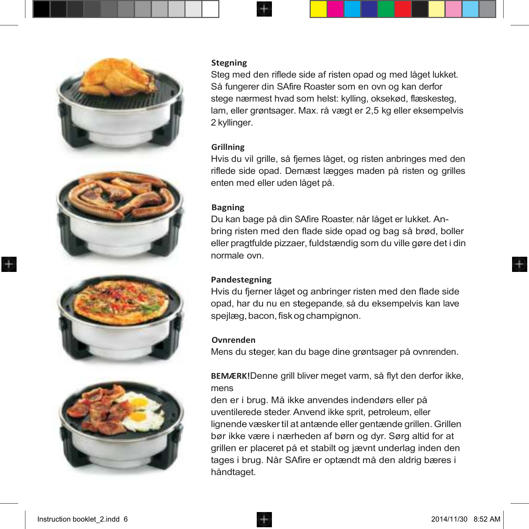







#### **Stegning**

Steg med den riflede side af risten opad og med låget lukket. Så fungerer din SAfire Roaster som en ovn og kan derfor stege nærmest hvad som helst: kylling, oksekød, flæskesteg, lam, eller grøntsager. Max. rå vægt er 2,5 kg eller eksempelvis 2 kyllinger.

#### **Grillning**

Hvis du vil grille, så fjernes låget, og risten anbringes med den riflede side opad. Dernæst lægges maden på risten og grilles enten med eller uden låget på.

#### **Bagning**

Du kan bage på din SAfire Roaster, når låget er lukket. Anbring risten med den flade side opad og bag så brød, boller eller pragtfulde pizzaer, fuldstændig som du ville gøre det i din normale ovn.

#### **Pandestegning**

Hvis du fjerner låget og anbringer risten med den flade side opad, har du nu en stegepande, så du eksempelvis kan lave spejlæg, bacon, fisk og champignon.

#### **Ovnrenden**

Mens du steger, kan du bage dine grøntsager på ovnrenden.

**BEMÆRK!**Denne grill bliver meget varm, så flyt den derfor ikke, mens

den er i brug. Må ikke anvendes indendørs eller på uventilerede steder. Anvend ikke sprit, petroleum, eller lignende væskertil at antænde eller gentænde grillen.Grillen bør ikke være i nærheden af børn og dyr. Sørg altid for at grillen er placeret på et stabilt og jævnt underlag inden den tages i brug. Når SAfire er optændt må den aldrig bæres i håndtaget.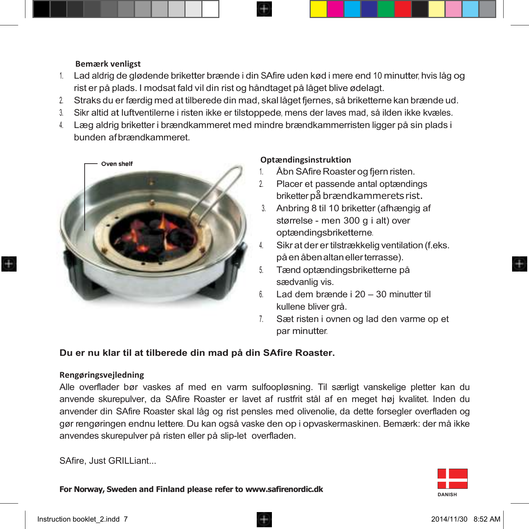#### **Bemærk venligst**

- 1. Lad aldrig de glødende briketter brænde i din SAfire uden kød i mere end <sup>10</sup> minutter, hvis låg og rist er på plads. I modsat fald vil din rist og håndtaget på låget blive ødelagt.
- 2. Straks du er færdig med at tilberede din mad, skal låget fjernes, så briketterne kan brænde ud.
- 3. Sikr altid at luftventilerne i risten ikke er tilstoppede, mens der laves mad, så ilden ikke kvæles.
- 4. Læg aldrig briketter i brændkammeret med mindre brændkammerristen ligger på sin plads i bunden afbrændkammeret.



#### **Optændingsinstruktion**

- Åbn SAfire Roaster og fiern risten.
- 2. Placer et passende antal optændings briketter på brændkammerets rist.
- 3. Anbring 8 til 10 briketter (afhængig af størrelse - men 300 g i alt) over optændingsbriketterne.
- Sikr at der er tilstrækkelig ventilation (f.eks.) påenåbenaltanellerterrasse).
- 5. Tænd optændingsbriketterne på sædvanlig vis.
- 6. Lad dem brænde i 20 30 minutter til kullene bliver grå.
- 7. Sæt risten i ovnen og lad den varme op et par minutter.

#### **Du er nu klar til at tilberede din mad på din SAfire Roaster.**

#### **Rengøringsvejledning**

Alle overflader bør vaskes af med en varm sulfoopløsning. Til særligt vanskelige pletter kan du anvende skurepulver, da SAfire Roaster er lavet af rustfrit stål af en meget høj kvalitet. Inden du anvender din SAfire Roaster skal låg og rist pensles med olivenolie, da dette forsegler overfladen og gør rengøringen endnu lettere. Du kan også vaske den op i opvaskermaskinen. Bemærk: der må ikke anvendes skurepulver på risten eller på slip-let overfladen.

SAfire, Just GRILLiant...

**For Norway, Sweden and Finland please refer t[o www.safirenordic.dk](http://www.safirenordic.dk/)**

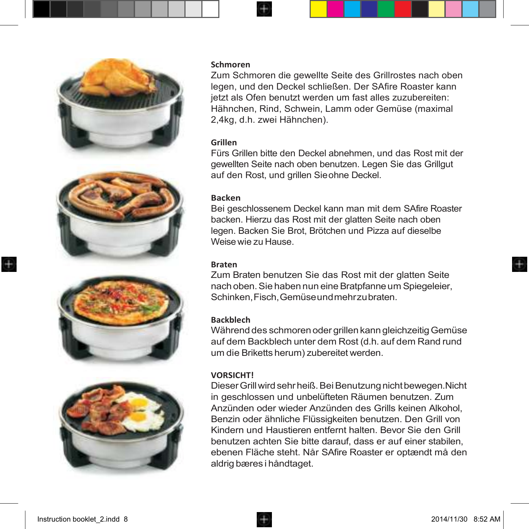







#### **Schmoren**

Zum Schmoren die gewellte Seite des Grillrostes nach oben legen, und den Deckel schließen. Der SAfire Roaster kann jetzt als Ofen benutzt werden um fast alles zuzubereiten: Hähnchen, Rind, Schwein, Lamm oder Gemüse (maximal 2,4kg, d.h. zwei Hähnchen).

#### **Grillen**

Fürs Grillen bitte den Deckel abnehmen, und das Rost mit der gewellten Seite nach oben benutzen. Legen Sie das Grillgut auf den Rost, und grillen Sieohne Deckel.

#### **Backen**

Bei geschlossenem Deckel kann man mit dem SAfire Roaster backen. Hierzu das Rost mit der glatten Seite nach oben legen. Backen Sie Brot, Brötchen und Pizza auf dieselbe Weise wie zu Hause.

#### **Braten**

Zum Braten benutzen Sie das Rost mit der glatten Seite nach oben. Sie haben nun eine Bratpfanne um Spiegeleier, Schinken,Fisch,Gemüseundmehrzubraten.

#### **Backblech**

Während des schmoren oder grillen kann gleichzeitigGemüse auf dem Backblech unter dem Rost (d.h. auf dem Rand rund um die Briketts herum) zubereitet werden.

#### **VORSICHT!**

Dieser Grill wird sehr heiß. Bei Benutzung nicht bewegen.Nicht in geschlossen und unbelüfteten Räumen benutzen. Zum Anzünden oder wieder Anzünden des Grills keinen Alkohol, Benzin oder ähnliche Flüssigkeiten benutzen. Den Grill von Kindern und Haustieren entfernt halten. Bevor Sie den Grill benutzen achten Sie bitte darauf, dass er auf einer stabilen, ebenen Fläche steht. Når SAfire Roaster er optændt må den aldrig bæres i håndtaget.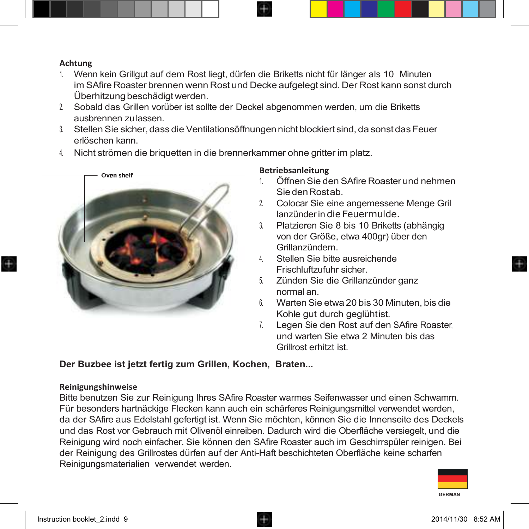#### **Achtung**

- 1. Wenn kein Grillgut auf dem Rost liegt, dürfen die Briketts nicht für länger als 10 Minuten im SAfire Roaster brennen wenn Rost und Decke aufgelegt sind. Der Rost kann sonst durch Überhitzung beschädigtwerden.
- 2. Sobald das Grillen vorüber ist sollte der Deckel abgenommen werden, um die Briketts ausbrennen zulassen.
- 3. StellenSie sicher,dass die Ventilationsöffnungen nichtblockiert sind, da sonstdas Feuer erlöschen kann.
- 4. Nicht strömen die briquetten in die brennerkammer ohne gritter im platz.



#### **Betriebsanleitung**

- 1. ÖffnenSie den SAfire Roaster und nehmen SiedenRostab.
- 2. Colocar Sie eine angemessene Menge Gril lanzünderindie Feuermulde.
- 3. Platzieren Sie 8 bis 10 Briketts (abhängig von der Größe, etwa 400gr) über den Grillanzündern.
- 4. Stellen Sie bitte ausreichende Frischluftzufuhr sicher.
- 5. Zünden Sie die Grillanzünder ganz normal an.
- 6. WartenSie etwa 20 bis 30 Minuten, bis die Kohle gut durch geglühtist.
- 7. Legen Sie den Rost auf den SAfire Roaster, und warten Sie etwa 2 Minuten bis das Grillrost erhitzt ist.

#### **Der Buzbee ist jetzt fertig zum Grillen, Kochen, Braten...**

#### **Reinigungshinweise**

Bitte benutzen Sie zur Reinigung Ihres SAfire Roaster warmes Seifenwasser und einen Schwamm. Für besonders hartnäckige Flecken kann auch ein schärferes Reinigungsmittel verwendet werden, da der SAfire aus Edelstahl gefertigt ist. Wenn Sie möchten, können Sie die Innenseite des Deckels und das Rost vor Gebrauch mit Olivenöl einreiben. Dadurch wird die Oberfläche versiegelt, und die Reinigung wird noch einfacher. Sie können den SAfire Roaster auch im Geschirrspüler reinigen. Bei der Reinigung des Grillrostes dürfen auf der Anti-Haft beschichteten Oberfläche keine scharfen Reinigungsmaterialien verwendet werden.

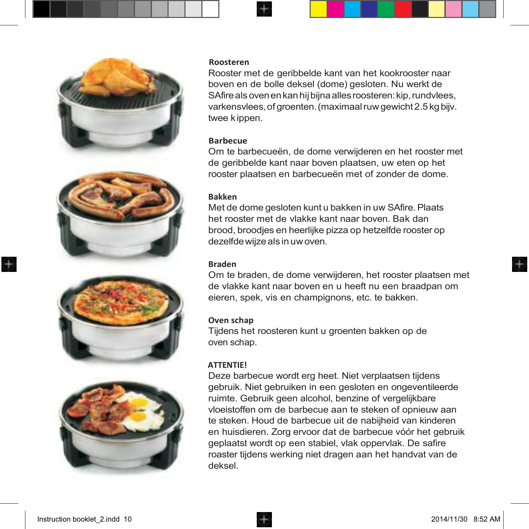







#### **Roosteren**

Rooster met de geribbelde kant van het kookrooster naar boven en de bolle deksel (dome) gesloten. Nu werkt de SAfire als oven en kan hij bijna alles roosteren: kip, rundvlees, varkensvlees, of groenten. (maximaal ruw gewicht 2.5 kg bijv. twee kippen.

#### **Barbecue**

Om te barbecueën, de dome verwijderen en het rooster met de geribbelde kant naar boven plaatsen, uw eten op het rooster plaatsen en barbecueën met of zonder de dome.

#### **Bakken**

Met de dome gesloten kunt u bakken in uw SAfire.Plaats het rooster met de vlakke kant naar boven. Bak dan brood, broodjes en heerlijke pizza op hetzelfde rooster op dezelfde wijze als in uw oven.

#### **Braden**

Om te braden, de dome verwijderen, het rooster plaatsen met de vlakke kant naar boven en u heeft nu een braadpan om eieren, spek, vis en champignons, etc. te bakken.

#### **Oven schap**

Tijdens het roosteren kunt u groenten bakken op de oven schap.

#### **ATTENTIE!**

Deze barbecue wordt erg heet. Niet verplaatsen tijdens gebruik. Niet gebruiken in een gesloten en ongeventileerde ruimte. Gebruik geen alcohol, benzine of vergelijkbare vloeistoffen om de barbecue aan te steken of opnieuw aan te steken. Houd de barbecue uit de nabijheid van kinderen en huisdieren. Zorg ervoor dat de barbecue vóór het gebruik geplaatst wordt op een stabiel, vlak oppervlak. De safire roaster tijdens werking niet dragen aan het handvat van de deksel.

÷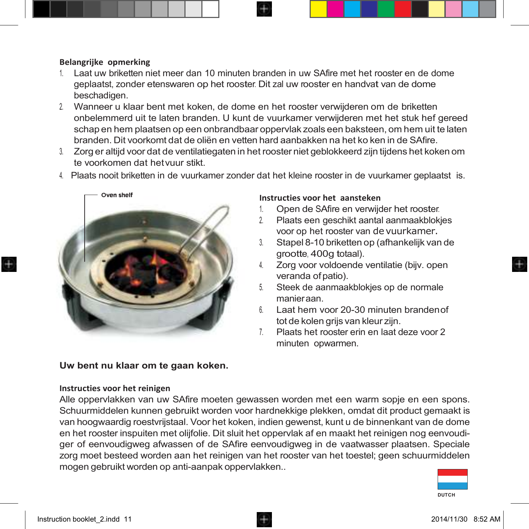#### **Belangrijke opmerking**

- 1. Laat uw briketten niet meer dan 10 minuten branden in uw SAfire met het rooster en de dome geplaatst, zonder etenswaren op het rooster. Dit zal uw rooster en handvat van de dome beschadigen.
- 2. Wanneer u klaar bent met koken, de dome en het rooster verwijderen om de briketten onbelemmerd uit te laten branden. U kunt de vuurkamer verwijderen met het stuk hef gereed schap en hem plaatsen op een onbrandbaar oppervlak zoals een baksteen, om hem uit te laten branden. Dit voorkomt dat de oliën en vetten hard aanbakken na het ko ken in de SAfire.
- 3. Zorg er altijd voor dat de ventilatiegaten in het rooster niet geblokkeerd zijn tijdens het koken om te voorkomen dat hetvuur stikt.
- 4. Plaats nooit briketten in de vuurkamer zonder dat het kleine rooster in de vuurkamer geplaatst is.



#### **Uw bent nu klaar om te gaan koken.**

#### **Instructies voor het reinigen**

# Alle oppervlakken van uw SAfire moeten gewassen worden met een warm sopje en een spons.



Schuurmiddelen kunnen gebruikt worden voor hardnekkige plekken, omdat dit product gemaakt is van hoogwaardig roestvrijstaal. Voor het koken, indien gewenst, kunt u de binnenkant van de dome en het rooster inspuiten met olijfolie. Dit sluit het oppervlak af en maakt het reinigen nog eenvoudiger of eenvoudigweg afwassen of de SAfire eenvoudigweg in de vaatwasser plaatsen. Speciale zorg moet besteed worden aan het reinigen van het rooster van het toestel; geen schuurmiddelen mogen gebruikt worden op anti-aanpak oppervlakken..

#### Instruction booklet 2.indd 11  $\Box$  2014/11/30 8:52 AM

## **Instructies voor het aansteken**

- 1. Open de SAfire en verwijder het rooster.
- 2. Plaats een geschikt aantal aanmaakblokjes voor op het rooster van devuurkamer.
- 3. Stapel 8-10 briketten op (afhankelijk van de grootte, 400g totaal).
- 4. Zorg voor voldoende ventilatie (bijv. open veranda ofpatio).
- 5. Steek de aanmaakblokjes op de normale manieraan.
- 6. Laat hem voor 20-30 minuten brandenof tot de kolen grijs van kleur zijn.
- 7. Plaats het rooster erin en laat deze voor 2 minuten opwarmen.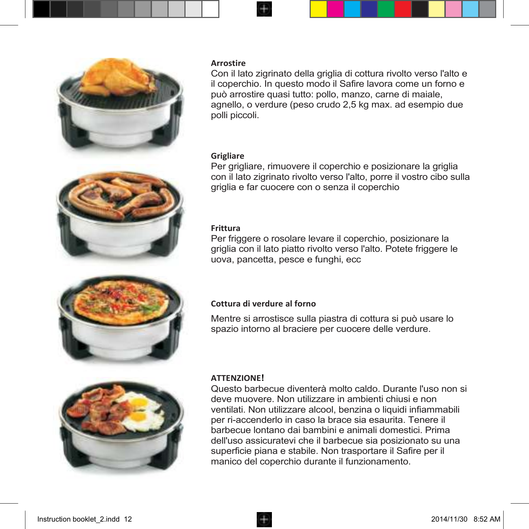

#### **Arrostire**

Con il lato zigrinato della griglia di cottura rivolto verso l'alto e il coperchio. In questo modo il Safire lavora come un forno e può arrostire quasi tutto: pollo, manzo, carne di maiale, agnello, o verdure (peso crudo 2,5 kg max. ad esempio due polli piccoli.

#### **Grigliare**

Per grigliare, rimuovere il coperchio e posizionare la griglia con il lato zigrinato rivolto verso l'alto, porre il vostro cibo sulla griglia e far cuocere con o senza il coperchio

#### **Frittura**

Per friggere o rosolare levare il coperchio, posizionare la griglia con il lato piatto rivolto verso l'alto. Potete friggere le uova, pancetta, pesce e funghi, ecc



#### **Cottura di verdure al forno**

Mentre si arrostisce sulla piastra di cottura si può usare lo spazio intorno al braciere per cuocere delle verdure.



#### **ATTENZIONE!**

Questo barbecue diventerà molto caldo. Durante l'uso non si deve muovere. Non utilizzare in ambienti chiusi e non ventilati. Non utilizzare alcool, benzina o liquidi infiammabili per ri-accenderlo in caso la brace sia esaurita. Tenere il barbecue lontano dai bambini e animali domestici. Prima dell'uso assicuratevi che il barbecue sia posizionato su una superficie piana e stabile. Non trasportare il Safire per il manico del coperchio durante il funzionamento.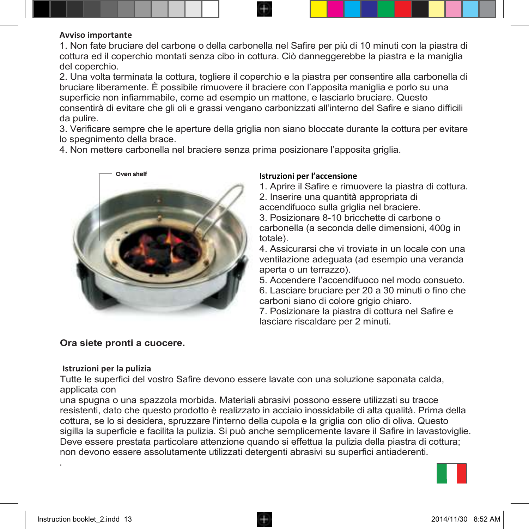#### **Avviso importante**

1. Non fate bruciare del carbone o della carbonella nel Safire per più di 10 minuti con la piastra di cottura ed il coperchio montati senza cibo in cottura. Ciò danneggerebbe la piastra e la maniglia del coperchio.

2. Una volta terminata la cottura, togliere il coperchio e la piastra per consentire alla carbonella di bruciare liberamente. È possibile rimuovere il braciere con l'apposita maniglia e porlo su una superficie non infiammabile, come ad esempio un mattone, e lasciarlo bruciare. Questo consentirà di evitare che gli oli e grassi vengano carbonizzati all'interno del Safire e siano difficili da pulire.

3. Verificare sempre che le aperture della griglia non siano bloccate durante la cottura per evitare lo spegnimento della brace.

4. Non mettere carbonella nel braciere senza prima posizionare l'apposita griglia.



#### **Istruzioni per l'accensione**

1. Aprire il Safire e rimuovere la piastra di cottura.

2. Inserire una quantità appropriata di accendifuoco sulla griglia nel braciere.

3. Posizionare 8-10 bricchette di carbone o carbonella (a seconda delle dimensioni, 400g in totale).

4. Assicurarsi che vi troviate in un locale con una ventilazione adeguata (ad esempio una veranda aperta o un terrazzo).

5. Accendere l'accendifuoco nel modo consueto. 6. Lasciare bruciare per 20 a 30 minuti o fino che carboni siano di colore grigio chiaro.

7. Posizionare la piastra di cottura nel Safire e lasciare riscaldare per 2 minuti.

#### **Ora siete pronti a cuocere.**

#### **Istruzioni per la pulizia**

Tutte le superfici del vostro Safire devono essere lavate con una soluzione saponata calda, applicata con

una spugna o una spazzola morbida. Materiali abrasivi possono essere utilizzati su tracce resistenti, dato che questo prodotto è realizzato in acciaio inossidabile di alta qualità. Prima della cottura, se lo si desidera, spruzzare l'interno della cupola e la griglia con olio di oliva. Questo sigilla la superficie e facilita la pulizia. Si può anche semplicemente lavare il Safire in lavastoviglie. Deve essere prestata particolare attenzione quando si effettua la pulizia della piastra di cottura; non devono essere assolutamente utilizzati detergenti abrasivi su superfici antiaderenti.



.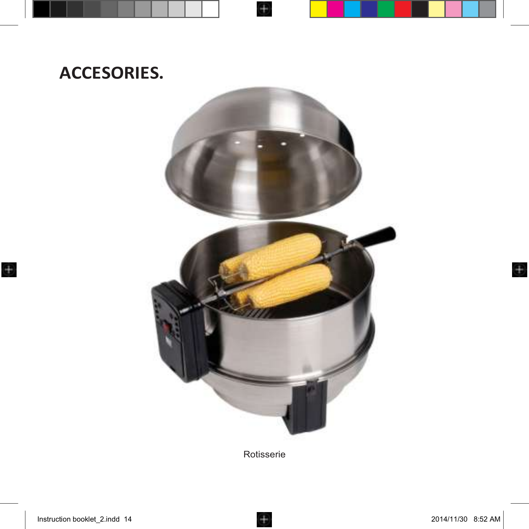# **ACCESORIES.**



 $\bigoplus$ 

Rotisserie

 $\bigoplus$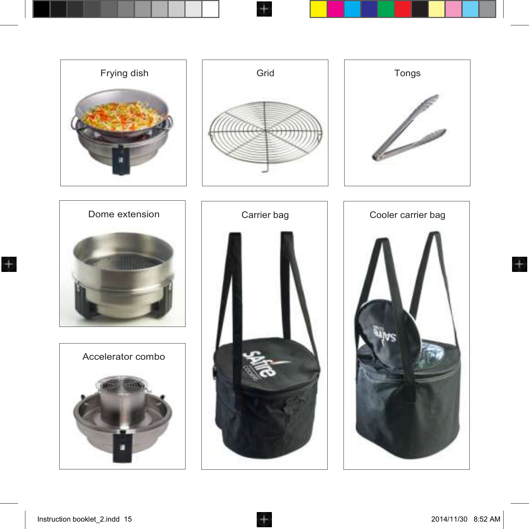

 $+$ 

 $\bigoplus$